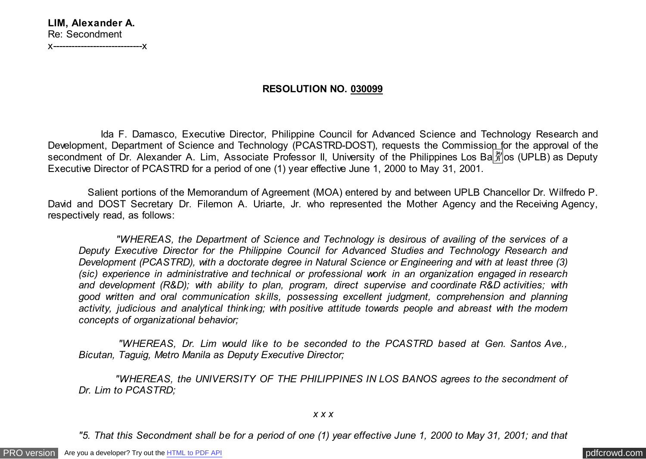## **LIM, Alexander A.** Re: Secondment x-----------------------------x

**RESOLUTION NO. 030099**

 Ida F. Damasco, Executive Director, Philippine Council for Advanced Science and Technology Research and Development, Department of Science and Technology (PCASTRD-DOST), requests the Commission for the approval of the secondment of Dr. Alexander A. Lim, Associate Professor II, University of the Philippines Los Ba $\frac{20}{3}$ os (UPLB) as Deputy Executive Director of PCASTRD for a period of one (1) year effective June 1, 2000 to May 31, 2001.

 Salient portions of the Memorandum of Agreement (MOA) entered by and between UPLB Chancellor Dr. Wilfredo P. David and DOST Secretary Dr. Filemon A. Uriarte, Jr. who represented the Mother Agency and the Receiving Agency, respectively read, as follows:

 *"WHEREAS, the Department of Science and Technology is desirous of availing of the services of a Deputy Executive Director for the Philippine Council for Advanced Studies and Technology Research and Development (PCASTRD), with a doctorate degree in Natural Science or Engineering and with at least three (3) (sic) experience in administrative and technical or professional work in an organization engaged in research and development (R&D); with ability to plan, program, direct supervise and coordinate R&D activities; with good written and oral communication skills, possessing excellent judgment, comprehension and planning activity, judicious and analytical thinking; with positive attitude towards people and abreast with the modern concepts of organizational behavior;*

 *"WHEREAS, Dr. Lim would like to be seconded to the PCASTRD based at Gen. Santos Ave., Bicutan, Taguig, Metro Manila as Deputy Executive Director;*

 *"WHEREAS, the UNIVERSITY OF THE PHILIPPINES IN LOS BANOS agrees to the secondment of Dr. Lim to PCASTRD;*

*x x x*

*"5. That this Secondment shall be for a period of one (1) year effective June 1, 2000 to May 31, 2001; and that*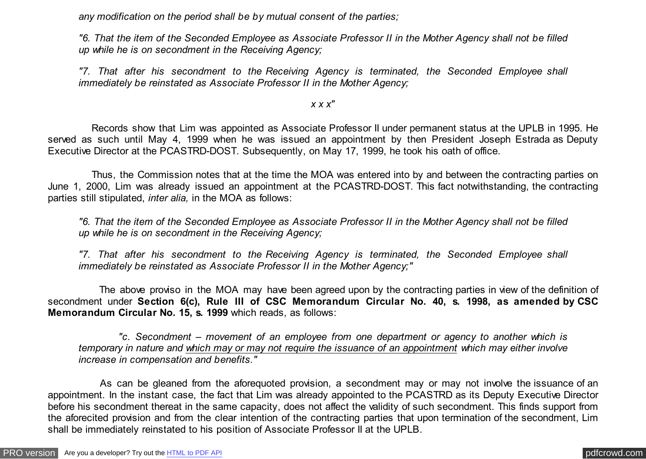*any modification on the period shall be by mutual consent of the parties;*

*"6. That the item of the Seconded Employee as Associate Professor II in the Mother Agency shall not be filled up while he is on secondment in the Receiving Agency;*

*"7. That after his secondment to the Receiving Agency is terminated, the Seconded Employee shall immediately be reinstated as Associate Professor II in the Mother Agency;*

*x x x"*

 Records show that Lim was appointed as Associate Professor II under permanent status at the UPLB in 1995. He served as such until May 4, 1999 when he was issued an appointment by then President Joseph Estrada as Deputy Executive Director at the PCASTRD-DOST. Subsequently, on May 17, 1999, he took his oath of office.

 Thus, the Commission notes that at the time the MOA was entered into by and between the contracting parties on June 1, 2000, Lim was already issued an appointment at the PCASTRD-DOST. This fact notwithstanding, the contracting parties still stipulated, *inter alia,* in the MOA as follows:

*"6. That the item of the Seconded Employee as Associate Professor II in the Mother Agency shall not be filled up while he is on secondment in the Receiving Agency;*

*"7. That after his secondment to the Receiving Agency is terminated, the Seconded Employee shall immediately be reinstated as Associate Professor II in the Mother Agency;"*

 The above proviso in the MOA may have been agreed upon by the contracting parties in view of the definition of secondment under **Section 6(c), Rule III of CSC Memorandum Circular No. 40, s. 1998, as amended by CSC Memorandum Circular No. 15, s. 1999** which reads, as follows:

 *"c. Secondment – movement of an employee from one department or agency to another which is temporary in nature and which may or may not require the issuance of an appointment which may either involve increase in compensation and benefits."*

 As can be gleaned from the aforequoted provision, a secondment may or may not involve the issuance of an appointment. In the instant case, the fact that Lim was already appointed to the PCASTRD as its Deputy Executive Director before his secondment thereat in the same capacity, does not affect the validity of such secondment. This finds support from the aforecited provision and from the clear intention of the contracting parties that upon termination of the secondment, Lim shall be immediately reinstated to his position of Associate Professor II at the UPLB.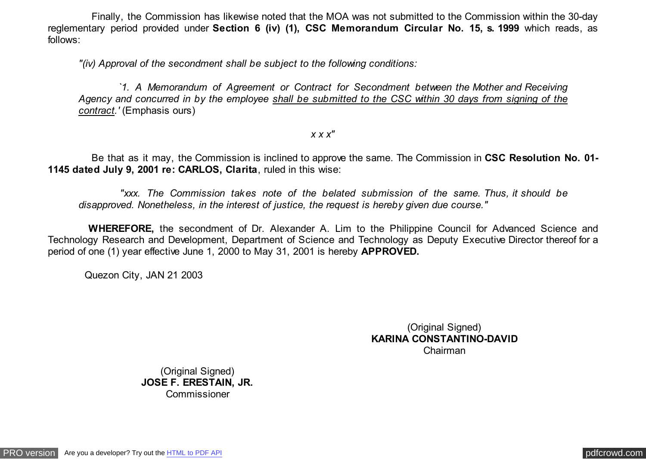Finally, the Commission has likewise noted that the MOA was not submitted to the Commission within the 30-day reglementary period provided under **Section 6 (iv) (1), CSC Memorandum Circular No. 15, s. 1999** which reads, as follows:

*"(iv) Approval of the secondment shall be subject to the following conditions:*

 *`1. A Memorandum of Agreement or Contract for Secondment between the Mother and Receiving Agency and concurred in by the employee shall be submitted to the CSC within 30 days from signing of the contract.'* (Emphasis ours)

*x x x"*

 Be that as it may, the Commission is inclined to approve the same. The Commission in **CSC Resolution No. 01- 1145 dated July 9, 2001 re: CARLOS, Clarita**, ruled in this wise:

 *"xxx. The Commission takes note of the belated submission of the same. Thus, it should be disapproved. Nonetheless, in the interest of justice, the request is hereby given due course."*

 **WHEREFORE,** the secondment of Dr. Alexander A. Lim to the Philippine Council for Advanced Science and Technology Research and Development, Department of Science and Technology as Deputy Executive Director thereof for a period of one (1) year effective June 1, 2000 to May 31, 2001 is hereby **APPROVED.**

Quezon City, JAN 21 2003

(Original Signed) **KARINA CONSTANTINO-DAVID** Chairman

(Original Signed) **JOSE F. ERESTAIN, JR.** Commissioner

[PRO version](http://pdfcrowd.com/customize/) Are you a developer? Try out th[e HTML to PDF API](http://pdfcrowd.com/html-to-pdf-api/?ref=pdf) provided and the example of the HTML to PDF API [pdfcrowd.com](http://pdfcrowd.com)